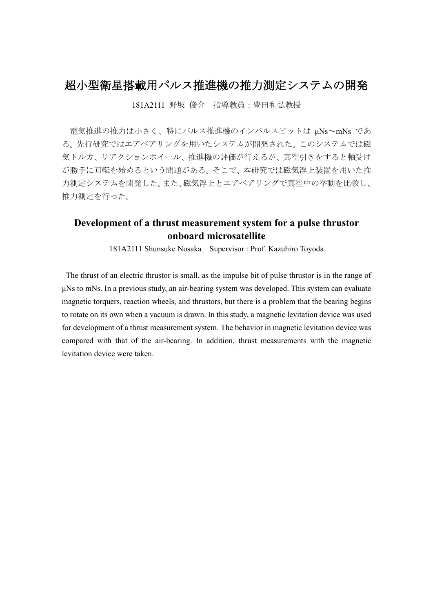## 超小型衛星搭載用パルス推進機の推力測定システムの開発

181A2111 野坂 俊介 指導教員:豊田和弘教授

電気推進の推力は小さく、特にパルス推進機のインパルスビットは μNs~mNs であ る。先行研究ではエアベアリングを用いたシステムが開発された。このシステムでは磁 気トルカ、リアクションホイール、推進機の評価が行えるが、真空引きをすると軸受け が勝手に回転を始めるという問題がある。そこで、本研究では磁気浮上装置を用いた推 力測定システムを開発した。また、磁気浮上とエアベアリングで真空中の挙動を比較し、 推力測定を行った。

## **Development of a thrust measurement system for a pulse thrustor onboard microsatellite**

181A2111 Shunsuke Nosaka Supervisor : Prof. Kazuhiro Toyoda

The thrust of an electric thrustor is small, as the impulse bit of pulse thrustor is in the range of μNs to mNs. In a previous study, an air-bearing system was developed. This system can evaluate magnetic torquers, reaction wheels, and thrustors, but there is a problem that the bearing begins to rotate on its own when a vacuum is drawn. In this study, a magnetic levitation device was used for development of a thrust measurement system. The behavior in magnetic levitation device was compared with that of the air-bearing. In addition, thrust measurements with the magnetic levitation device were taken.